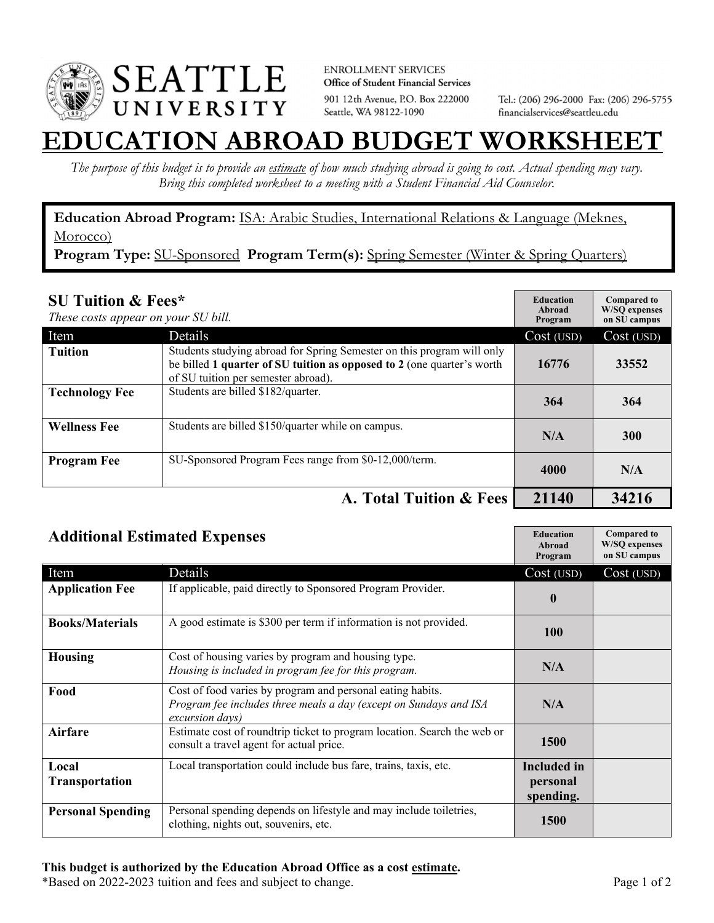

**ENROLLMENT SERVICES** Office of Student Financial Services 901 12th Avenue, P.O. Box 222000 Seattle, WA 98122-1090

Tel.: (206) 296-2000 Fax: (206) 296-5755 financialservices@seattleu.edu

## **TION ABROAD BUDGET WORKSHE**

*The purpose of this budget is to provide an estimate of how much studying abroad is going to cost. Actual spending may vary. Bring this completed worksheet to a meeting with a Student Financial Aid Counselor.* 

**Education Abroad Program:** ISA: Arabic Studies, International Relations & Language (Meknes, Morocco)

Program Type: SU-Sponsored Program Term(s): Spring Semester (Winter & Spring Quarters)

| <b>SU Tuition &amp; Fees*</b><br>These costs appear on your SU bill. |                                                                                                                                                                                         | <b>Education</b><br>Abroad<br>Program | <b>Compared to</b><br><b>W/SO</b> expenses<br>on SU campus |
|----------------------------------------------------------------------|-----------------------------------------------------------------------------------------------------------------------------------------------------------------------------------------|---------------------------------------|------------------------------------------------------------|
| Item                                                                 | Details                                                                                                                                                                                 | Cost (USD)                            | Cost (USD)                                                 |
| <b>Tuition</b>                                                       | Students studying abroad for Spring Semester on this program will only<br>be billed 1 quarter of SU tuition as opposed to 2 (one quarter's worth<br>of SU tuition per semester abroad). | 16776                                 | 33552                                                      |
| <b>Technology Fee</b>                                                | Students are billed \$182/quarter.                                                                                                                                                      | 364                                   | 364                                                        |
| <b>Wellness Fee</b>                                                  | Students are billed \$150/quarter while on campus.                                                                                                                                      | N/A                                   | 300                                                        |
| <b>Program Fee</b>                                                   | SU-Sponsored Program Fees range from \$0-12,000/term.                                                                                                                                   | 4000                                  | N/A                                                        |
|                                                                      | A. Total Tuition & Fees                                                                                                                                                                 | 21140                                 | 34216                                                      |

| <b>Additional Estimated Expenses</b> |                                                                                                                                                    | <b>Education</b><br>Abroad<br>Program       | <b>Compared to</b><br>W/SQ expenses<br>on SU campus |
|--------------------------------------|----------------------------------------------------------------------------------------------------------------------------------------------------|---------------------------------------------|-----------------------------------------------------|
| Item                                 | Details                                                                                                                                            | Cost (USD)                                  | Cost (USD)                                          |
| <b>Application Fee</b>               | If applicable, paid directly to Sponsored Program Provider.                                                                                        | $\boldsymbol{0}$                            |                                                     |
| <b>Books/Materials</b>               | A good estimate is \$300 per term if information is not provided.                                                                                  | <b>100</b>                                  |                                                     |
| <b>Housing</b>                       | Cost of housing varies by program and housing type.<br>Housing is included in program fee for this program.                                        | N/A                                         |                                                     |
| Food                                 | Cost of food varies by program and personal eating habits.<br>Program fee includes three meals a day (except on Sundays and ISA<br>excursion days) | N/A                                         |                                                     |
| Airfare                              | Estimate cost of roundtrip ticket to program location. Search the web or<br>consult a travel agent for actual price.                               | 1500                                        |                                                     |
| Local<br><b>Transportation</b>       | Local transportation could include bus fare, trains, taxis, etc.                                                                                   | <b>Included</b> in<br>personal<br>spending. |                                                     |
| <b>Personal Spending</b>             | Personal spending depends on lifestyle and may include toiletries,<br>clothing, nights out, souvenirs, etc.                                        | <b>1500</b>                                 |                                                     |

\*Based on 2022-2023 tuition and fees and subject to change. Page 1 of 2